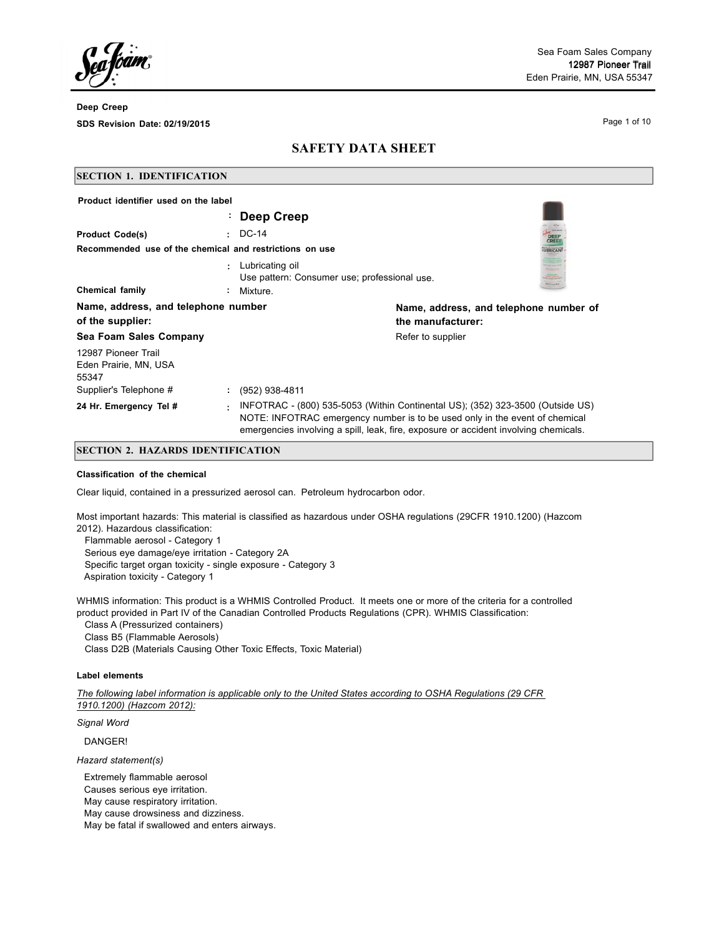Page 1 of 10

# **SAFETY DATA SHEET**

| <b>SECTION 1. IDENTIFICATION</b>                                                |                                   |                                                                                                                                                                                                                                                       |                                        |
|---------------------------------------------------------------------------------|-----------------------------------|-------------------------------------------------------------------------------------------------------------------------------------------------------------------------------------------------------------------------------------------------------|----------------------------------------|
| Product identifier used on the label                                            | Deep Creep                        |                                                                                                                                                                                                                                                       |                                        |
| <b>Product Code(s)</b>                                                          | $\cdot$ DC-14                     |                                                                                                                                                                                                                                                       | DEEP                                   |
| Recommended use of the chemical and restrictions on use                         |                                   |                                                                                                                                                                                                                                                       | UBRICAN                                |
| <b>Chemical family</b>                                                          | Lubricating oil<br>۰.<br>Mixture. | Use pattern: Consumer use; professional use.                                                                                                                                                                                                          |                                        |
| Name, address, and telephone number<br>of the supplier:                         |                                   | the manufacturer:                                                                                                                                                                                                                                     | Name, address, and telephone number of |
| Sea Foam Sales Company                                                          |                                   | Refer to supplier                                                                                                                                                                                                                                     |                                        |
| 12987 Pioneer Trail<br>Eden Prairie, MN, USA<br>55347<br>Supplier's Telephone # | (952) 938-4811                    |                                                                                                                                                                                                                                                       |                                        |
| 24 Hr. Emergency Tel #                                                          | ÷                                 | INFOTRAC - (800) 535-5053 (Within Continental US); (352) 323-3500 (Outside US)<br>NOTE: INFOTRAC emergency number is to be used only in the event of chemical<br>emergencies involving a spill, leak, fire, exposure or accident involving chemicals. |                                        |

## **SECTION 2. HAZARDS IDENTIFICATION**

#### **Classification of the chemical**

Clear liquid, contained in a pressurized aerosol can. Petroleum hydrocarbon odor.

Most important hazards: This material is classified as hazardous under OSHA regulations (29CFR 1910.1200) (Hazcom 2012). Hazardous classification:

Flammable aerosol - Category 1 Serious eye damage/eye irritation - Category 2A Specific target organ toxicity - single exposure - Category 3 Aspiration toxicity - Category 1

WHMIS information: This product is a WHMIS Controlled Product. It meets one or more of the criteria for a controlled product provided in Part IV of the Canadian Controlled Products Regulations (CPR). WHMIS Classification:

Class A (Pressurized containers)

Class B5 (Flammable Aerosols)

Class D2B (Materials Causing Other Toxic Effects, Toxic Material)

## **Label elements**

The following label information is applicable only to the United States according to OSHA Regulations (29 CFR *1910.1200) (Hazcom 2012):*

*Signal Word*

DANGER!

*Hazard statement(s)*

Extremely flammable aerosol

Causes serious eye irritation.

May cause respiratory irritation.

May cause drowsiness and dizziness.

May be fatal if swallowed and enters airways.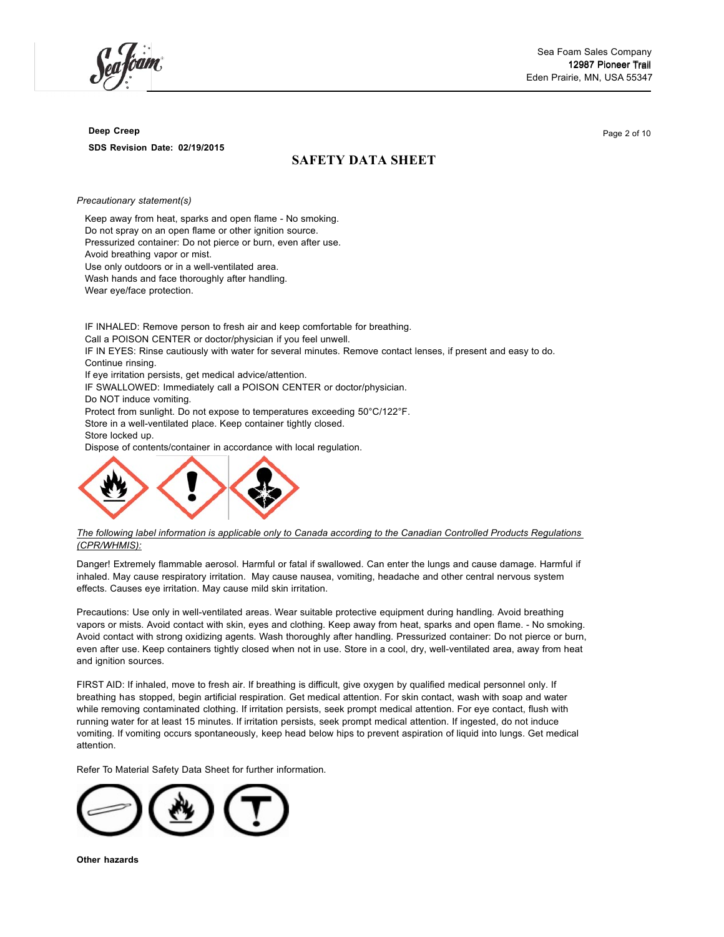# **SAFETY DATA SHEET**

*Precautionary statement(s)*

Keep away from heat, sparks and open flame - No smoking. Do not spray on an open flame or other ignition source. Pressurized container: Do not pierce or burn, even after use. Avoid breathing vapor or mist. Use only outdoors or in a well-ventilated area. Wash hands and face thoroughly after handling. Wear eye/face protection.

IF INHALED: Remove person to fresh air and keep comfortable for breathing. Call a POISON CENTER or doctor/physician if you feel unwell. IF IN EYES: Rinse cautiously with water for several minutes. Remove contact lenses, if present and easy to do. Continue rinsing. If eye irritation persists, get medical advice/attention. IF SWALLOWED: Immediately call a POISON CENTER or doctor/physician. Do NOT induce vomiting. Protect from sunlight. Do not expose to temperatures exceeding 50°C/122°F. Store in a well-ventilated place. Keep container tightly closed. Store locked up. Dispose of contents/container in accordance with local regulation.



#### The following label information is applicable only to Canada according to the Canadian Controlled Products Regulations *(CPR/WHMIS):*

Danger! Extremely flammable aerosol. Harmful or fatal if swallowed. Can enter the lungs and cause damage. Harmful if inhaled. May cause respiratory irritation. May cause nausea, vomiting, headache and other central nervous system effects. Causes eye irritation. May cause mild skin irritation.

Precautions: Use only in well-ventilated areas. Wear suitable protective equipment during handling. Avoid breathing vapors or mists. Avoid contact with skin, eyes and clothing. Keep away from heat, sparks and open flame. - No smoking. Avoid contact with strong oxidizing agents. Wash thoroughly after handling. Pressurized container: Do not pierce or burn, even after use. Keep containers tightly closed when not in use. Store in a cool, dry, well-ventilated area, away from heat and ignition sources.

FIRST AID: If inhaled, move to fresh air. If breathing is difficult, give oxygen by qualified medical personnel only. If breathing has stopped, begin artificial respiration. Get medical attention. For skin contact, wash with soap and water while removing contaminated clothing. If irritation persists, seek prompt medical attention. For eye contact, flush with running water for at least 15 minutes. If irritation persists, seek prompt medical attention. If ingested, do not induce vomiting. If vomiting occurs spontaneously, keep head below hips to prevent aspiration of liquid into lungs. Get medical attention.

Refer To Material Safety Data Sheet for further information.



Page 2 of 10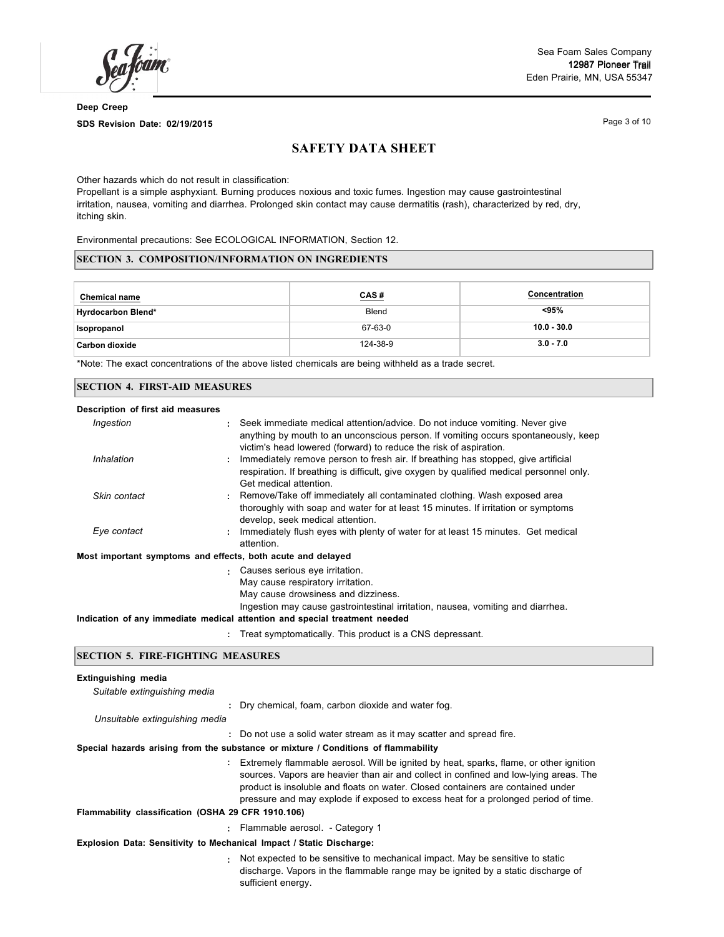Sea Foam Sales Company 12987 Pioneer Trail Eden Prairie, MN, USA 55347

**Deep Creep SDS Revision Date: 02/19/2015**

Page 3 of 10

# **SAFETY DATA SHEET**

Other hazards which do not result in classification:

Propellant is a simple asphyxiant. Burning produces noxious and toxic fumes. Ingestion may cause gastrointestinal irritation, nausea, vomiting and diarrhea. Prolonged skin contact may cause dermatitis (rash), characterized by red, dry, itching skin.

Environmental precautions: See ECOLOGICAL INFORMATION, Section 12.

## **SECTION 3. COMPOSITION/INFORMATION ON INGREDIENTS**

| <b>Chemical name</b>      | CAS#     | <b>Concentration</b> |
|---------------------------|----------|----------------------|
| <b>Hyrdocarbon Blend*</b> | Blend    | <95%                 |
| Isopropanol               | 67-63-0  | $10.0 - 30.0$        |
| Carbon dioxide            | 124-38-9 | $3.0 - 7.0$          |

\*Note: The exact concentrations of the above listed chemicals are being withheld as a trade secret.

#### **SECTION 4. FIRST-AID MEASURES**

| Description of first aid measures                           |                                                                                                                                                                                                                                                                             |
|-------------------------------------------------------------|-----------------------------------------------------------------------------------------------------------------------------------------------------------------------------------------------------------------------------------------------------------------------------|
| Ingestion                                                   | : Seek immediate medical attention/advice. Do not induce vomiting. Never give<br>anything by mouth to an unconscious person. If vomiting occurs spontaneously, keep<br>victim's head lowered (forward) to reduce the risk of aspiration.                                    |
| Inhalation                                                  | : Immediately remove person to fresh air. If breathing has stopped, give artificial<br>respiration. If breathing is difficult, give oxygen by qualified medical personnel only.<br>Get medical attention.                                                                   |
| Skin contact                                                | : Remove/Take off immediately all contaminated clothing. Wash exposed area<br>thoroughly with soap and water for at least 15 minutes. If irritation or symptoms<br>develop, seek medical attention.                                                                         |
| Eye contact                                                 | Immediately flush eyes with plenty of water for at least 15 minutes. Get medical<br>attention.                                                                                                                                                                              |
| Most important symptoms and effects, both acute and delayed |                                                                                                                                                                                                                                                                             |
|                                                             | Causes serious eye irritation.<br>May cause respiratory irritation.<br>May cause drowsiness and dizziness.<br>Ingestion may cause gastrointestinal irritation, nausea, vomiting and diarrhea.<br>Indication of any immediate medical attention and special treatment needed |
|                                                             | Treat symptomatically. This product is a CNS depressant.                                                                                                                                                                                                                    |

### **SECTION 5. FIRE-FIGHTING MEASURES**

#### **Extinguishing media**

| : Dry chemical, foam, carbon dioxide and water fog.                                                                                                                                                                                                                                                                                                                                                            |
|----------------------------------------------------------------------------------------------------------------------------------------------------------------------------------------------------------------------------------------------------------------------------------------------------------------------------------------------------------------------------------------------------------------|
|                                                                                                                                                                                                                                                                                                                                                                                                                |
| : Do not use a solid water stream as it may scatter and spread fire.                                                                                                                                                                                                                                                                                                                                           |
| Special hazards arising from the substance or mixture / Conditions of flammability                                                                                                                                                                                                                                                                                                                             |
| Extremely flammable aerosol. Will be ignited by heat, sparks, flame, or other ignition<br>sources. Vapors are heavier than air and collect in confined and low-lying areas. The<br>product is insoluble and floats on water. Closed containers are contained under<br>pressure and may explode if exposed to excess heat for a prolonged period of time.<br>Flammability classification (OSHA 29 CFR 1910.106) |
| : Flammable aerosol. - Category 1                                                                                                                                                                                                                                                                                                                                                                              |
| Explosion Data: Sensitivity to Mechanical Impact / Static Discharge:                                                                                                                                                                                                                                                                                                                                           |
| Not expected to be sensitive to mechanical impact. May be sensitive to static<br>discharge. Vapors in the flammable range may be ignited by a static discharge of<br>sufficient energy.                                                                                                                                                                                                                        |
|                                                                                                                                                                                                                                                                                                                                                                                                                |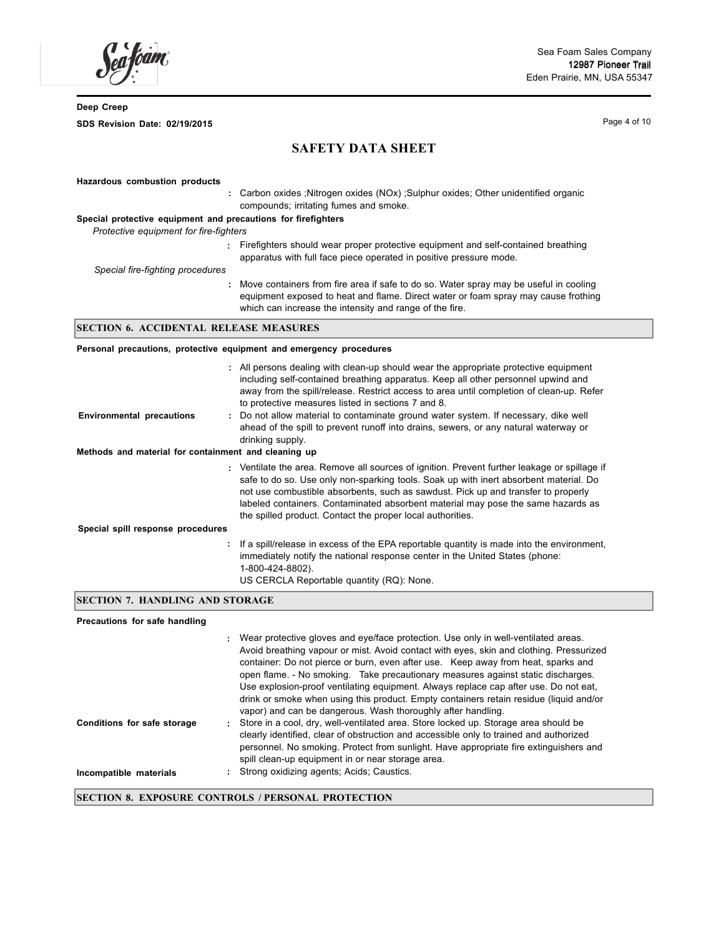am.

Page 4 of 10

**SAFETY DATA SHEET**

| Hazardous combustion products                                       |                                                                                                                                                                                                                                          |
|---------------------------------------------------------------------|------------------------------------------------------------------------------------------------------------------------------------------------------------------------------------------------------------------------------------------|
|                                                                     | : Carbon oxides ; Nitrogen oxides (NOx) ; Sulphur oxides; Other unidentified organic<br>compounds; irritating fumes and smoke.                                                                                                           |
| Special protective equipment and precautions for firefighters       |                                                                                                                                                                                                                                          |
| Protective equipment for fire-fighters                              |                                                                                                                                                                                                                                          |
|                                                                     | : Firefighters should wear proper protective equipment and self-contained breathing<br>apparatus with full face piece operated in positive pressure mode.                                                                                |
| Special fire-fighting procedures                                    |                                                                                                                                                                                                                                          |
|                                                                     | : Move containers from fire area if safe to do so. Water spray may be useful in cooling<br>equipment exposed to heat and flame. Direct water or foam spray may cause frothing<br>which can increase the intensity and range of the fire. |
| <b>SECTION 6. ACCIDENTAL RELEASE MEASURES</b>                       |                                                                                                                                                                                                                                          |
| Personal precautions, protective equipment and emergency procedures |                                                                                                                                                                                                                                          |
|                                                                     | : All persons dealing with clean-up should wear the appropriate protective equipment                                                                                                                                                     |

| <b>Environmental precautions</b><br>Methods and material for containment and cleaning up | : All persons dealing with clean-up should wear the appropriate protective equipment<br>including self-contained breathing apparatus. Keep all other personnel upwind and<br>away from the spill/release. Restrict access to area until completion of clean-up. Refer<br>to protective measures listed in sections 7 and 8.<br>: Do not allow material to contaminate ground water system. If necessary, dike well<br>ahead of the spill to prevent runoff into drains, sewers, or any natural waterway or<br>drinking supply. |
|------------------------------------------------------------------------------------------|--------------------------------------------------------------------------------------------------------------------------------------------------------------------------------------------------------------------------------------------------------------------------------------------------------------------------------------------------------------------------------------------------------------------------------------------------------------------------------------------------------------------------------|
|                                                                                          | : Ventilate the area. Remove all sources of ignition. Prevent further leakage or spillage if<br>safe to do so. Use only non-sparking tools. Soak up with inert absorbent material. Do<br>not use combustible absorbents, such as sawdust. Pick up and transfer to properly<br>labeled containers. Contaminated absorbent material may pose the same hazards as                                                                                                                                                                 |
| Special spill response procedures                                                        | the spilled product. Contact the proper local authorities.                                                                                                                                                                                                                                                                                                                                                                                                                                                                     |
|                                                                                          | : If a spill/release in excess of the EPA reportable quantity is made into the environment,<br>immediately notify the national response center in the United States (phone:<br>1-800-424-8802).<br>US CERCLA Reportable quantity (RQ): None.                                                                                                                                                                                                                                                                                   |

# **SECTION 7. HANDLING AND STORAGE**

# **Precautions for safe handling**

|                             | : Wear protective gloves and eye/face protection. Use only in well-ventilated areas.                                                                                                                                                                                                                                                                     |
|-----------------------------|----------------------------------------------------------------------------------------------------------------------------------------------------------------------------------------------------------------------------------------------------------------------------------------------------------------------------------------------------------|
|                             | Avoid breathing vapour or mist. Avoid contact with eyes, skin and clothing. Pressurized<br>container: Do not pierce or burn, even after use. Keep away from heat, sparks and<br>open flame. - No smoking. Take precautionary measures against static discharges.<br>Use explosion-proof ventilating equipment. Always replace cap after use. Do not eat, |
|                             | drink or smoke when using this product. Empty containers retain residue (liquid and/or<br>vapor) and can be dangerous. Wash thoroughly after handling.                                                                                                                                                                                                   |
| Conditions for safe storage | : Store in a cool, dry, well-ventilated area. Store locked up. Storage area should be<br>clearly identified, clear of obstruction and accessible only to trained and authorized<br>personnel. No smoking. Protect from sunlight. Have appropriate fire extinguishers and<br>spill clean-up equipment in or near storage area.                            |
| Incompatible materials      | Strong oxidizing agents; Acids; Caustics.                                                                                                                                                                                                                                                                                                                |
|                             |                                                                                                                                                                                                                                                                                                                                                          |

## **SECTION 8. EXPOSURE CONTROLS / PERSONAL PROTECTION**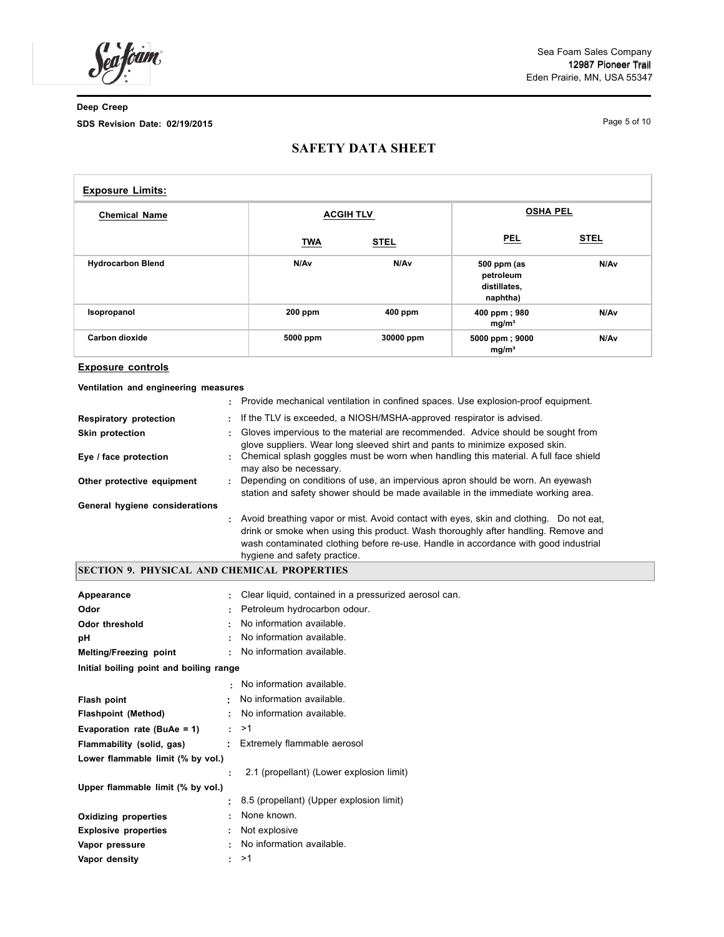bam,

Sea Foam Sales Company 12987 Pioneer Trail Eden Prairie, MN, USA 55347

**Deep Creep SDS Revision Date: 02/19/2015**

Page 5 of 10

# **SAFETY DATA SHEET**

| <b>Exposure Limits:</b>  |                  |             |                                                      |             |  |
|--------------------------|------------------|-------------|------------------------------------------------------|-------------|--|
| <b>Chemical Name</b>     | <b>ACGIH TLV</b> |             | <b>OSHA PEL</b>                                      |             |  |
|                          | <b>TWA</b>       | <b>STEL</b> | <b>PEL</b>                                           | <b>STEL</b> |  |
| <b>Hydrocarbon Blend</b> | N/Av             | N/Av        | 500 ppm (as<br>petroleum<br>distillates,<br>naphtha) | N/Av        |  |
| Isopropanol              | 200 ppm          | 400 ppm     | 400 ppm; 980<br>mg/m <sup>3</sup>                    | N/Av        |  |
| Carbon dioxide           | 5000 ppm         | 30000 ppm   | 5000 ppm; 9000<br>mg/m <sup>3</sup>                  | N/Av        |  |

## **Exposure controls**

**Ventilation and engineering measures**

|                                |   | Provide mechanical ventilation in confined spaces. Use explosion-proof equipment.                                                                                                                                                                                                                     |
|--------------------------------|---|-------------------------------------------------------------------------------------------------------------------------------------------------------------------------------------------------------------------------------------------------------------------------------------------------------|
| <b>Respiratory protection</b>  | ÷ | If the TLV is exceeded, a NIOSH/MSHA-approved respirator is advised.                                                                                                                                                                                                                                  |
| <b>Skin protection</b>         |   | : Gloves impervious to the material are recommended. Advice should be sought from<br>glove suppliers. Wear long sleeved shirt and pants to minimize exposed skin.                                                                                                                                     |
| Eye / face protection          |   | : Chemical splash goggles must be worn when handling this material. A full face shield<br>may also be necessary.                                                                                                                                                                                      |
| Other protective equipment     |   | Depending on conditions of use, an impervious apron should be worn. An eyewash<br>station and safety shower should be made available in the immediate working area.                                                                                                                                   |
| General hygiene considerations |   |                                                                                                                                                                                                                                                                                                       |
|                                |   | : Avoid breathing vapor or mist. Avoid contact with eyes, skin and clothing. Do not eat,<br>drink or smoke when using this product. Wash thoroughly after handling. Remove and<br>wash contaminated clothing before re-use. Handle in accordance with good industrial<br>hygiene and safety practice. |

## **SECTION 9. PHYSICAL AND CHEMICAL PROPERTIES**

| Appearance                              |                | Clear liquid, contained in a pressurized aerosol can. |  |
|-----------------------------------------|----------------|-------------------------------------------------------|--|
| Odor                                    |                | Petroleum hydrocarbon odour.                          |  |
| <b>Odor threshold</b>                   |                | No information available.                             |  |
| рH                                      |                | No information available.                             |  |
| Melting/Freezing point                  | ÷.             | No information available.                             |  |
| Initial boiling point and boiling range |                |                                                       |  |
|                                         |                | . No information available.                           |  |
| Flash point                             | $\blacksquare$ | No information available.                             |  |
| <b>Flashpoint (Method)</b>              |                | No information available.                             |  |
| Evaporation rate (BuAe = 1)             | ÷.             | >1                                                    |  |
| Flammability (solid, gas)               | ÷.             | Extremely flammable aerosol                           |  |
| Lower flammable limit (% by vol.)       |                |                                                       |  |
|                                         |                | 2.1 (propellant) (Lower explosion limit)              |  |
| Upper flammable limit (% by vol.)       |                |                                                       |  |
|                                         | ÷.             | 8.5 (propellant) (Upper explosion limit)              |  |
| <b>Oxidizing properties</b>             |                | None known.                                           |  |
| <b>Explosive properties</b>             | ÷.             | Not explosive                                         |  |
| Vapor pressure                          |                | No information available.                             |  |
| Vapor density                           | ÷.             | >1                                                    |  |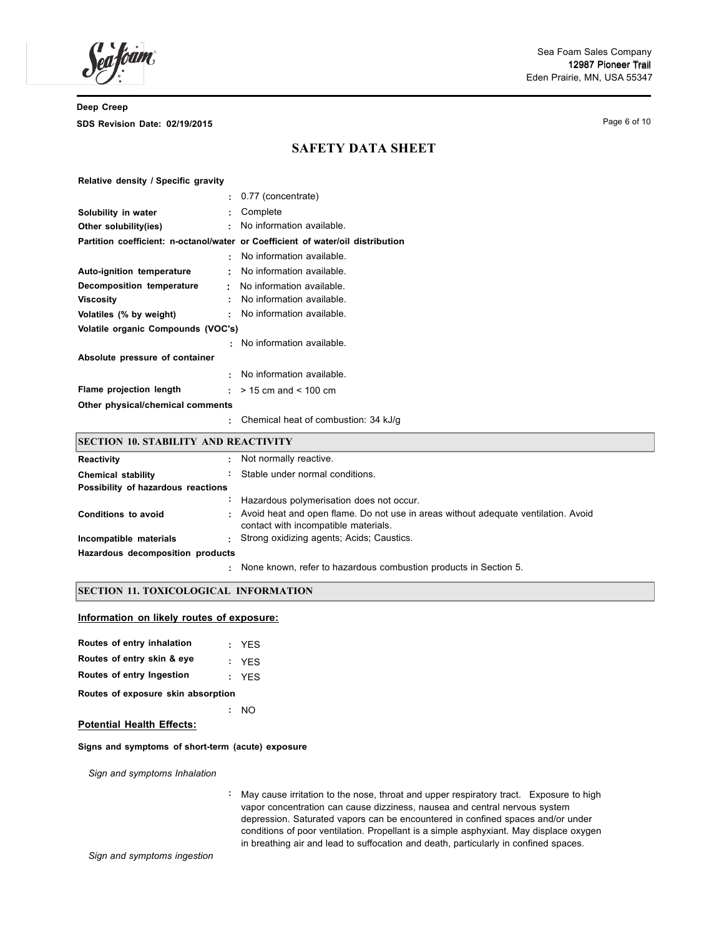Page 6 of 10

# **SAFETY DATA SHEET**

#### **Relative density / Specific gravity**

|                                    | $\pm$ 0.77 (concentrate)                                                        |
|------------------------------------|---------------------------------------------------------------------------------|
| Solubility in water<br>÷.          | Complete                                                                        |
| Other solubility(ies)<br>٠         | No information available.                                                       |
|                                    | Partition coefficient: n-octanol/water or Coefficient of water/oil distribution |
| ÷                                  | No information available.                                                       |
| Auto-ignition temperature<br>٠     | No information available.                                                       |
| Decomposition temperature<br>t.    | No information available.                                                       |
| Viscosity<br>÷                     | No information available.                                                       |
| Volatiles (% by weight)<br>÷       | No information available.                                                       |
| Volatile organic Compounds (VOC's) |                                                                                 |
|                                    | : No information available.                                                     |
| Absolute pressure of container     |                                                                                 |
| ٠                                  | No information available.                                                       |
| Flame projection length<br>÷.,     | $>$ 15 cm and $<$ 100 cm                                                        |
| Other physical/chemical comments   |                                                                                 |
|                                    | Chemical heat of combustion: 34 kJ/g                                            |

## **SECTION 10. STABILITY AND REACTIVITY**

| Reactivity                         |    | Not normally reactive.                                                                                                       |  |
|------------------------------------|----|------------------------------------------------------------------------------------------------------------------------------|--|
| <b>Chemical stability</b>          | ÷. | Stable under normal conditions.                                                                                              |  |
| Possibility of hazardous reactions |    |                                                                                                                              |  |
|                                    |    | Hazardous polymerisation does not occur.                                                                                     |  |
| Conditions to avoid                |    | : Avoid heat and open flame. Do not use in areas without adequate ventilation. Avoid<br>contact with incompatible materials. |  |
| Incompatible materials             |    | Strong oxidizing agents; Acids; Caustics.                                                                                    |  |
| Hazardous decomposition products   |    |                                                                                                                              |  |
|                                    |    | None known, refer to hazardous combustion products in Section 5.                                                             |  |

## **SECTION 11. TOXICOLOGICAL INFORMATION**

## **Information on likely routes of exposure:**

| Routes of entry inhalation         |    | : YES |  |  |
|------------------------------------|----|-------|--|--|
| Routes of entry skin & eye         |    | : YES |  |  |
| Routes of entry Ingestion          |    | : YFS |  |  |
| Routes of exposure skin absorption |    |       |  |  |
|                                    | ÷. | NΟ    |  |  |

## **Potential Health Effects:**

#### **Signs and symptoms of short-term (acute) exposure**

*Sign and symptoms Inhalation*

**:** May cause irritation to the nose, throat and upper respiratory tract. Exposure to high vapor concentration can cause dizziness, nausea and central nervous system depression. Saturated vapors can be encountered in confined spaces and/or under conditions of poor ventilation. Propellant is a simple asphyxiant. May displace oxygen in breathing air and lead to suffocation and death, particularly in confined spaces.

*Sign and symptoms ingestion*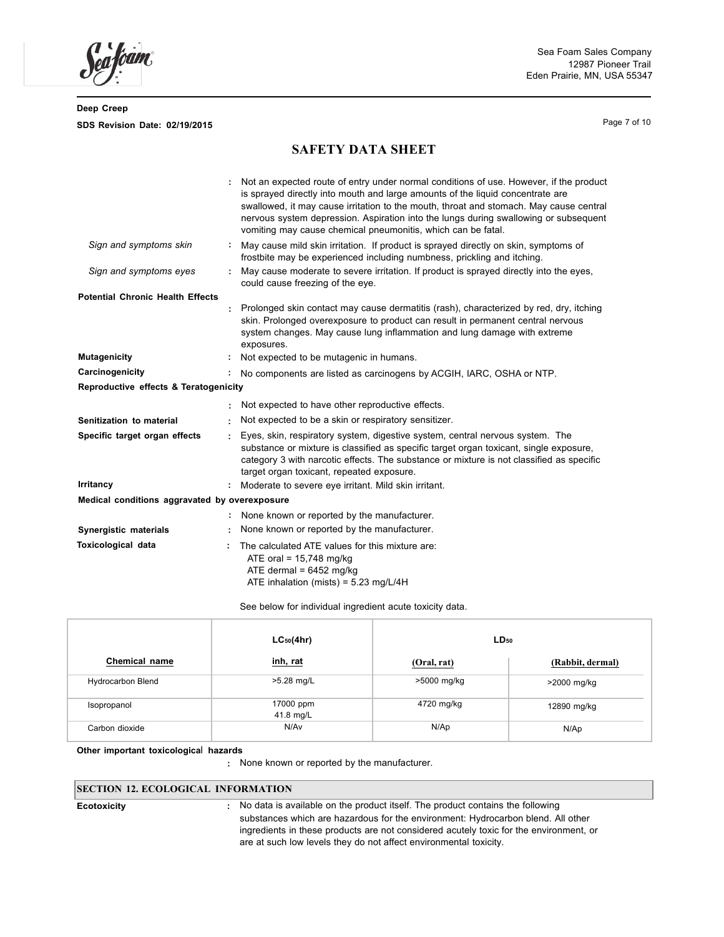Page 7 of 10

# **SAFETY DATA SHEET**

|                                               |    | Not an expected route of entry under normal conditions of use. However, if the product<br>is sprayed directly into mouth and large amounts of the liquid concentrate are<br>swallowed, it may cause irritation to the mouth, throat and stomach. May cause central<br>nervous system depression. Aspiration into the lungs during swallowing or subsequent<br>vomiting may cause chemical pneumonitis, which can be fatal. |
|-----------------------------------------------|----|----------------------------------------------------------------------------------------------------------------------------------------------------------------------------------------------------------------------------------------------------------------------------------------------------------------------------------------------------------------------------------------------------------------------------|
| Sign and symptoms skin                        | ÷. | May cause mild skin irritation. If product is sprayed directly on skin, symptoms of<br>frostbite may be experienced including numbness, prickling and itching.                                                                                                                                                                                                                                                             |
| Sign and symptoms eyes                        |    | May cause moderate to severe irritation. If product is sprayed directly into the eyes,<br>could cause freezing of the eye.                                                                                                                                                                                                                                                                                                 |
| <b>Potential Chronic Health Effects</b>       |    | Prolonged skin contact may cause dermatitis (rash), characterized by red, dry, itching<br>skin. Prolonged overexposure to product can result in permanent central nervous<br>system changes. May cause lung inflammation and lung damage with extreme<br>exposures.                                                                                                                                                        |
| <b>Mutagenicity</b>                           |    | Not expected to be mutagenic in humans.                                                                                                                                                                                                                                                                                                                                                                                    |
| Carcinogenicity                               |    | No components are listed as carcinogens by ACGIH, IARC, OSHA or NTP.                                                                                                                                                                                                                                                                                                                                                       |
| Reproductive effects & Teratogenicity         |    |                                                                                                                                                                                                                                                                                                                                                                                                                            |
|                                               |    | Not expected to have other reproductive effects.                                                                                                                                                                                                                                                                                                                                                                           |
| Senitization to material                      |    | Not expected to be a skin or respiratory sensitizer.                                                                                                                                                                                                                                                                                                                                                                       |
| Specific target organ effects                 |    | Eyes, skin, respiratory system, digestive system, central nervous system. The<br>substance or mixture is classified as specific target organ toxicant, single exposure,<br>category 3 with narcotic effects. The substance or mixture is not classified as specific<br>target organ toxicant, repeated exposure.                                                                                                           |
| Irritancy                                     |    | Moderate to severe eye irritant. Mild skin irritant.                                                                                                                                                                                                                                                                                                                                                                       |
| Medical conditions aggravated by overexposure |    |                                                                                                                                                                                                                                                                                                                                                                                                                            |
|                                               |    | None known or reported by the manufacturer.                                                                                                                                                                                                                                                                                                                                                                                |
| Synergistic materials                         |    | None known or reported by the manufacturer.                                                                                                                                                                                                                                                                                                                                                                                |
| Toxicological data                            |    | The calculated ATE values for this mixture are:<br>ATE oral = $15,748$ mg/kg<br>ATE dermal = $6452$ mg/kg<br>ATE inhalation (mists) = $5.23$ mg/L/4H                                                                                                                                                                                                                                                                       |

See below for individual ingredient acute toxicity data.

|                   | $LC_{50}(4hr)$         | $LD_{50}$   |                  |
|-------------------|------------------------|-------------|------------------|
| Chemical name     | inh, rat               | (Oral, rat) | (Rabbit, dermal) |
| Hydrocarbon Blend | >5.28 mg/L             | >5000 mg/kg | >2000 mg/kg      |
| Isopropanol       | 17000 ppm<br>41.8 mg/L | 4720 mg/kg  | 12890 mg/kg      |
| Carbon dioxide    | N/Av                   | N/Ap        | N/Ap             |

**Other important toxicologica**l **hazards**

**:** None known or reported by the manufacturer.

## **SECTION 12. ECOLOGICAL INFORMATION**

**Ecotoxicity :** No data is available on the product itself. The product contains the following substances which are hazardous for the environment: Hydrocarbon blend. All other ingredients in these products are not considered acutely toxic for the environment, or are at such low levels they do not affect environmental toxicity.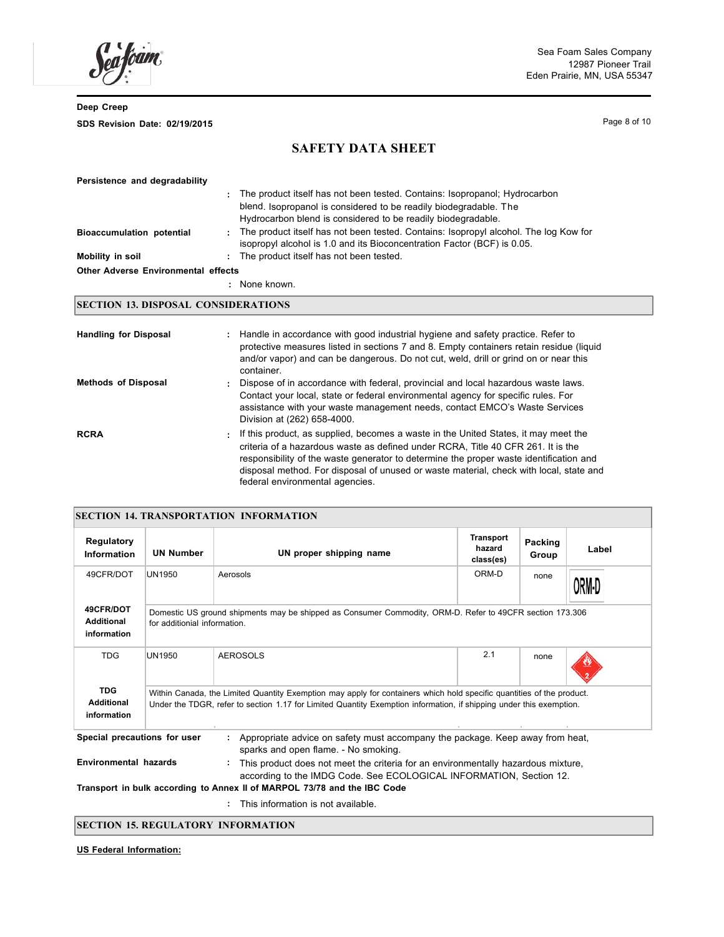ram.

Page 8 of 10

# **SAFETY DATA SHEET**

| Persistence and degradability              |   |                                                                                                                                                                 |
|--------------------------------------------|---|-----------------------------------------------------------------------------------------------------------------------------------------------------------------|
|                                            | ÷ | The product itself has not been tested. Contains: Isopropanol; Hydrocarbon                                                                                      |
|                                            |   | blend. Isopropanol is considered to be readily biodegradable. The                                                                                               |
|                                            |   | Hydrocarbon blend is considered to be readily biodegradable.                                                                                                    |
| <b>Bioaccumulation potential</b>           | ÷ | The product itself has not been tested. Contains: Isopropyl alcohol. The log Kow for<br>isopropyl alcohol is 1.0 and its Bioconcentration Factor (BCF) is 0.05. |
| Mobility in soil                           | ÷ | The product itself has not been tested.                                                                                                                         |
| <b>Other Adverse Environmental effects</b> |   |                                                                                                                                                                 |
|                                            |   | : None known                                                                                                                                                    |

## **SECTION 13. DISPOSAL CONSIDERATIONS**

| <b>Handling for Disposal</b> |   | : Handle in accordance with good industrial hygiene and safety practice. Refer to<br>protective measures listed in sections 7 and 8. Empty containers retain residue (liquid<br>and/or vapor) and can be dangerous. Do not cut, weld, drill or grind on or near this<br>container.                                                                                                             |
|------------------------------|---|------------------------------------------------------------------------------------------------------------------------------------------------------------------------------------------------------------------------------------------------------------------------------------------------------------------------------------------------------------------------------------------------|
| <b>Methods of Disposal</b>   |   | : Dispose of in accordance with federal, provincial and local hazardous waste laws.<br>Contact your local, state or federal environmental agency for specific rules. For<br>assistance with your waste management needs, contact EMCO's Waste Services<br>Division at (262) 658-4000.                                                                                                          |
| <b>RCRA</b>                  | ÷ | If this product, as supplied, becomes a waste in the United States, it may meet the<br>criteria of a hazardous waste as defined under RCRA. Title 40 CFR 261. It is the<br>responsibility of the waste generator to determine the proper waste identification and<br>disposal method. For disposal of unused or waste material, check with local, state and<br>federal environmental agencies. |

| <b>SECTION 14. TRANSPORTATION INFORMATION</b>  |                                                                                                                                                                                                                                              |                                                                                                                       |                                         |                  |       |  |
|------------------------------------------------|----------------------------------------------------------------------------------------------------------------------------------------------------------------------------------------------------------------------------------------------|-----------------------------------------------------------------------------------------------------------------------|-----------------------------------------|------------------|-------|--|
| Regulatory<br><b>Information</b>               | <b>UN Number</b>                                                                                                                                                                                                                             | UN proper shipping name                                                                                               | <b>Transport</b><br>hazard<br>class(es) | Packing<br>Group | Label |  |
| 49CFR/DOT                                      | UN1950                                                                                                                                                                                                                                       | Aerosols                                                                                                              | ORM-D                                   | none             | )RM·D |  |
| 49CFR/DOT<br><b>Additional</b><br>information  | Domestic US ground shipments may be shipped as Consumer Commodity, ORM-D. Refer to 49CFR section 173.306<br>for additionial information.                                                                                                     |                                                                                                                       |                                         |                  |       |  |
| <b>TDG</b>                                     | UN1950                                                                                                                                                                                                                                       | <b>AEROSOLS</b>                                                                                                       | 2.1                                     | none             |       |  |
| <b>TDG</b><br><b>Additional</b><br>information | Within Canada, the Limited Quantity Exemption may apply for containers which hold specific quantities of the product.<br>Under the TDGR, refer to section 1.17 for Limited Quantity Exemption information, if shipping under this exemption. |                                                                                                                       |                                         |                  |       |  |
| Special precautions for user                   |                                                                                                                                                                                                                                              | Appropriate advice on safety must accompany the package. Keep away from heat,<br>sparks and open flame. - No smoking. |                                         |                  |       |  |
|                                                | <b>Environmental hazards</b><br>This product does not meet the criteria for an environmentally hazardous mixture,<br>according to the IMDG Code. See ECOLOGICAL INFORMATION, Section 12.                                                     |                                                                                                                       |                                         |                  |       |  |
|                                                |                                                                                                                                                                                                                                              | Transport in bulk according to Annex II of MARPOL 73/78 and the IBC Code                                              |                                         |                  |       |  |

**:** This information is not available.

## **SECTION 15. REGULATORY INFORMATION**

**US Federal Information:**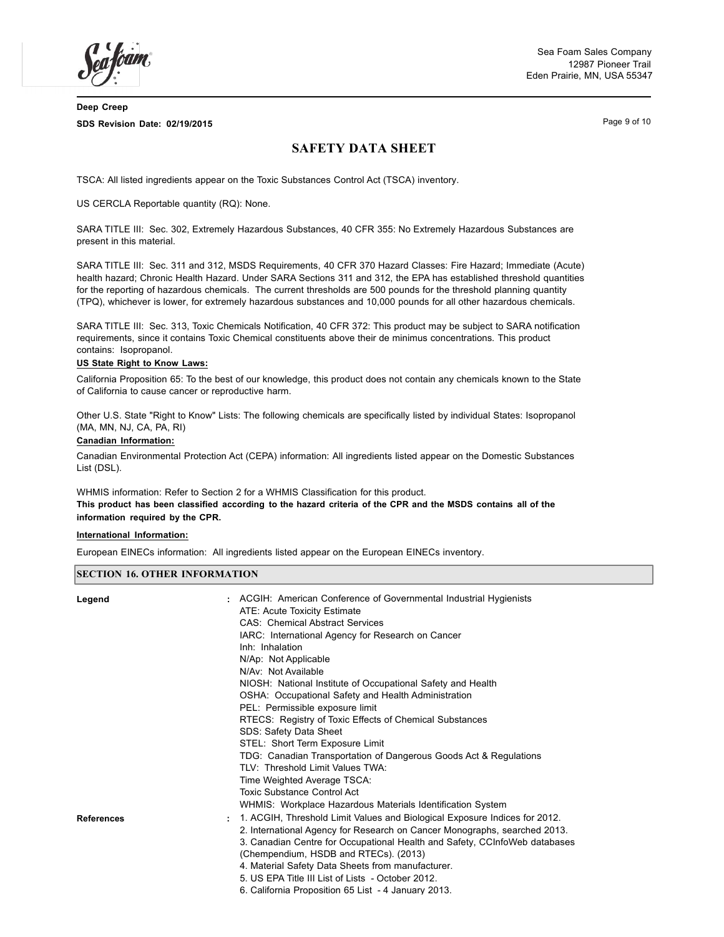Sea Foam Sales Company 12987 Pioneer Trail Eden Prairie, MN, USA 55347

**Deep Creep SDS Revision Date: 02/19/2015**

Page 9 of 10

# **SAFETY DATA SHEET**

TSCA: All listed ingredients appear on the Toxic Substances Control Act (TSCA) inventory.

US CERCLA Reportable quantity (RQ): None.

SARA TITLE III: Sec. 302, Extremely Hazardous Substances, 40 CFR 355: No Extremely Hazardous Substances are present in this material.

SARA TITLE III: Sec. 311 and 312, MSDS Requirements, 40 CFR 370 Hazard Classes: Fire Hazard; Immediate (Acute) health hazard; Chronic Health Hazard. Under SARA Sections 311 and 312, the EPA has established threshold quantities for the reporting of hazardous chemicals. The current thresholds are 500 pounds for the threshold planning quantity (TPQ), whichever is lower, for extremely hazardous substances and 10,000 pounds for all other hazardous chemicals.

SARA TITLE III: Sec. 313, Toxic Chemicals Notification, 40 CFR 372: This product may be subject to SARA notification requirements, since it contains Toxic Chemical constituents above their de minimus concentrations. This product contains: Isopropanol.

#### **US State Right to Know Laws:**

California Proposition 65: To the best of our knowledge, this product does not contain any chemicals known to the State of California to cause cancer or reproductive harm.

Other U.S. State "Right to Know" Lists: The following chemicals are specifically listed by individual States: Isopropanol (MA, MN, NJ, CA, PA, RI)

#### **Canadian Information:**

Canadian Environmental Protection Act (CEPA) information: All ingredients listed appear on the Domestic Substances List (DSL).

WHMIS information: Refer to Section 2 for a WHMIS Classification for this product. This product has been classified according to the hazard criteria of the CPR and the MSDS contains all of the **information required by the CPR.**

#### **International Information:**

European EINECs information: All ingredients listed appear on the European EINECs inventory.

#### **SECTION 16. OTHER INFORMATION**

| Legend     | : ACGIH: American Conference of Governmental Industrial Hygienists           |
|------------|------------------------------------------------------------------------------|
|            | ATE: Acute Toxicity Estimate                                                 |
|            | <b>CAS: Chemical Abstract Services</b>                                       |
|            | IARC: International Agency for Research on Cancer                            |
|            | Inh: Inhalation                                                              |
|            | N/Ap: Not Applicable                                                         |
|            | N/Av: Not Available                                                          |
|            | NIOSH: National Institute of Occupational Safety and Health                  |
|            | OSHA: Occupational Safety and Health Administration                          |
|            | PEL: Permissible exposure limit                                              |
|            | RTECS: Registry of Toxic Effects of Chemical Substances                      |
|            | SDS: Safety Data Sheet                                                       |
|            | STEL: Short Term Exposure Limit                                              |
|            | TDG: Canadian Transportation of Dangerous Goods Act & Regulations            |
|            | TLV: Threshold Limit Values TWA:                                             |
|            | Time Weighted Average TSCA:                                                  |
|            | <b>Toxic Substance Control Act</b>                                           |
|            | WHMIS: Workplace Hazardous Materials Identification System                   |
| References | : 1. ACGIH, Threshold Limit Values and Biological Exposure Indices for 2012. |
|            | 2. International Agency for Research on Cancer Monographs, searched 2013.    |
|            | 3. Canadian Centre for Occupational Health and Safety, CCInfoWeb databases   |
|            | (Chempendium, HSDB and RTECs). (2013)                                        |
|            | 4. Material Safety Data Sheets from manufacturer.                            |
|            | 5. US EPA Title III List of Lists - October 2012.                            |
|            | 6. California Proposition 65 List - 4 January 2013.                          |